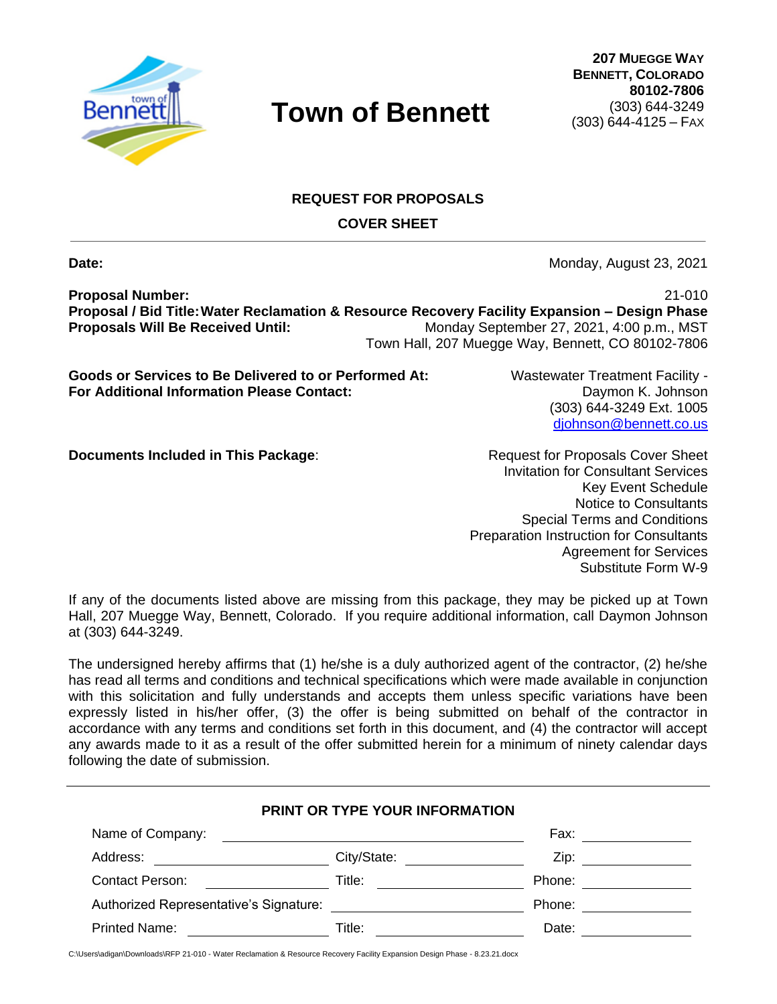

**207 MUEGGE WAY BENNETT, COLORADO 80102-7806** (303) 644-3249 (303) 644-4125 – FAX

## **REQUEST FOR PROPOSALS**

**COVER SHEET**

**Date:** Monday, August 23, 2021

**Proposal Number:** 21-010 **Proposal / Bid Title:Water Reclamation & Resource Recovery Facility Expansion – Design Phase Proposals Will Be Received Until:** Monday September 27, 2021, 4:00 p.m., MST Town Hall, 207 Muegge Way, Bennett, CO 80102-7806

**Goods or Services to Be Delivered to or Performed At:** Wastewater Treatment Facility - **For Additional Information Please Contact:** Daymon K. Johnson

(303) 644-3249 Ext. 1005 [djohnson@bennett.co.us](mailto:djohnson@bennett.co.us)

**Documents Included in This Package:** Request for Proposals Cover Sheet

Invitation for Consultant Services Key Event Schedule Notice to Consultants Special Terms and Conditions Preparation Instruction for Consultants Agreement for Services Substitute Form W-9

If any of the documents listed above are missing from this package, they may be picked up at Town Hall, 207 Muegge Way, Bennett, Colorado. If you require additional information, call Daymon Johnson at (303) 644-3249.

The undersigned hereby affirms that (1) he/she is a duly authorized agent of the contractor, (2) he/she has read all terms and conditions and technical specifications which were made available in conjunction with this solicitation and fully understands and accepts them unless specific variations have been expressly listed in his/her offer, (3) the offer is being submitted on behalf of the contractor in accordance with any terms and conditions set forth in this document, and (4) the contractor will accept any awards made to it as a result of the offer submitted herein for a minimum of ninety calendar days following the date of submission.

|                                                      | PRINT OR TYPE YOUR INFORMATION                                                                                       |        |
|------------------------------------------------------|----------------------------------------------------------------------------------------------------------------------|--------|
| Name of Company:                                     | <u> 1989 - John Stein, marking and de broad and de broad and de broad and de broad and de broad and de broad and</u> | Fax:   |
| Address:<br><u> 1989 - Andrea State Barbara, pre</u> | City/State:                                                                                                          | Zip:   |
| Contact Person:                                      | Title:                                                                                                               | Phone: |
| Authorized Representative's Signature:               |                                                                                                                      | Phone: |
| Printed Name:                                        | Title:                                                                                                               | Date:  |

C:\Users\adigan\Downloads\RFP 21-010 - Water Reclamation & Resource Recovery Facility Expansion Design Phase - 8.23.21.docx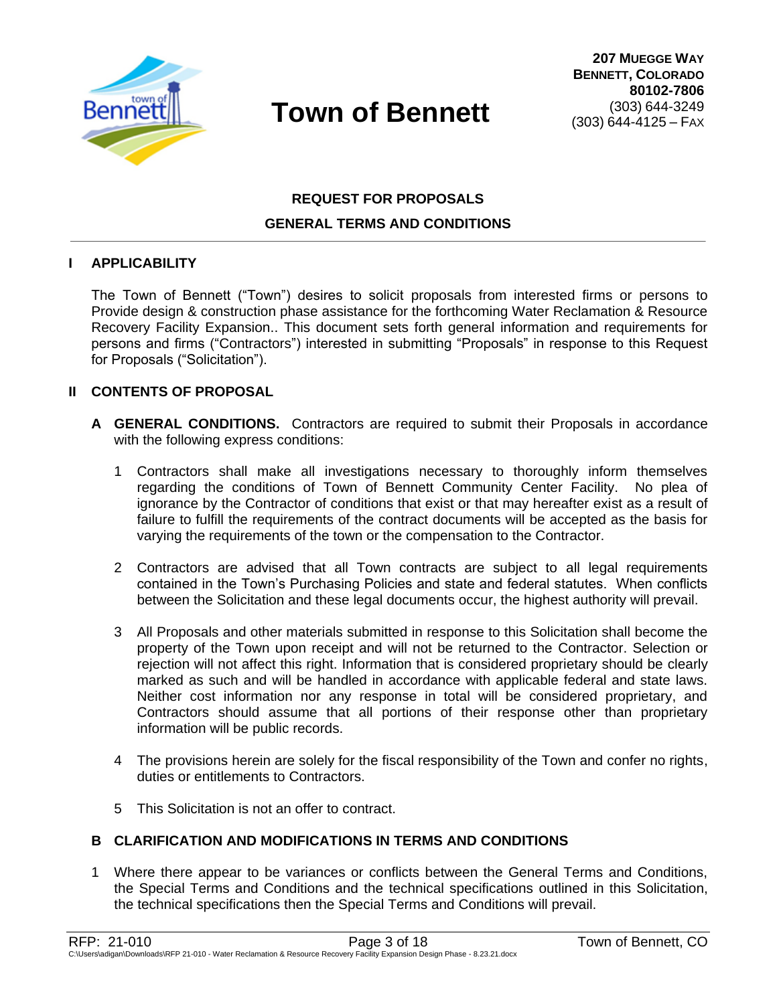

## **REQUEST FOR PROPOSALS GENERAL TERMS AND CONDITIONS**

## **I APPLICABILITY**

The Town of Bennett ("Town") desires to solicit proposals from interested firms or persons to Provide design & construction phase assistance for the forthcoming Water Reclamation & Resource Recovery Facility Expansion.. This document sets forth general information and requirements for persons and firms ("Contractors") interested in submitting "Proposals" in response to this Request for Proposals ("Solicitation").

#### **II CONTENTS OF PROPOSAL**

- **A GENERAL CONDITIONS.** Contractors are required to submit their Proposals in accordance with the following express conditions:
	- 1 Contractors shall make all investigations necessary to thoroughly inform themselves regarding the conditions of Town of Bennett Community Center Facility. No plea of ignorance by the Contractor of conditions that exist or that may hereafter exist as a result of failure to fulfill the requirements of the contract documents will be accepted as the basis for varying the requirements of the town or the compensation to the Contractor.
	- 2 Contractors are advised that all Town contracts are subject to all legal requirements contained in the Town's Purchasing Policies and state and federal statutes. When conflicts between the Solicitation and these legal documents occur, the highest authority will prevail.
	- 3 All Proposals and other materials submitted in response to this Solicitation shall become the property of the Town upon receipt and will not be returned to the Contractor. Selection or rejection will not affect this right. Information that is considered proprietary should be clearly marked as such and will be handled in accordance with applicable federal and state laws. Neither cost information nor any response in total will be considered proprietary, and Contractors should assume that all portions of their response other than proprietary information will be public records.
	- 4 The provisions herein are solely for the fiscal responsibility of the Town and confer no rights, duties or entitlements to Contractors.
	- 5 This Solicitation is not an offer to contract.

## **B CLARIFICATION AND MODIFICATIONS IN TERMS AND CONDITIONS**

1 Where there appear to be variances or conflicts between the General Terms and Conditions, the Special Terms and Conditions and the technical specifications outlined in this Solicitation, the technical specifications then the Special Terms and Conditions will prevail.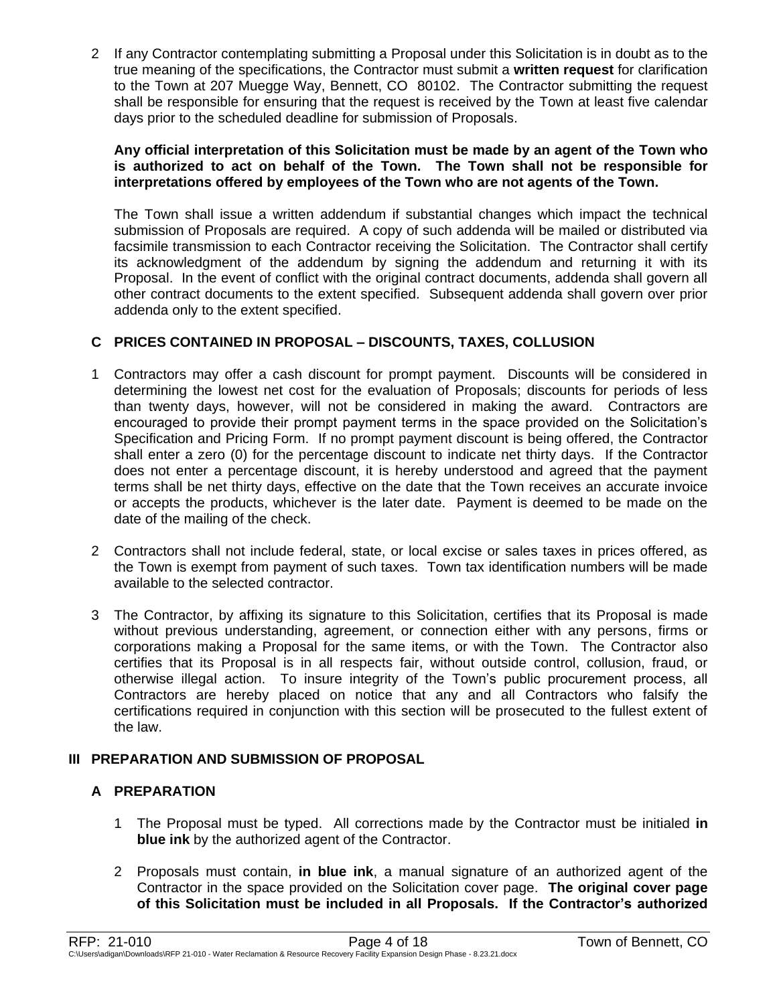2 If any Contractor contemplating submitting a Proposal under this Solicitation is in doubt as to the true meaning of the specifications, the Contractor must submit a **written request** for clarification to the Town at 207 Muegge Way, Bennett, CO 80102. The Contractor submitting the request shall be responsible for ensuring that the request is received by the Town at least five calendar days prior to the scheduled deadline for submission of Proposals.

#### **Any official interpretation of this Solicitation must be made by an agent of the Town who is authorized to act on behalf of the Town. The Town shall not be responsible for interpretations offered by employees of the Town who are not agents of the Town.**

The Town shall issue a written addendum if substantial changes which impact the technical submission of Proposals are required. A copy of such addenda will be mailed or distributed via facsimile transmission to each Contractor receiving the Solicitation. The Contractor shall certify its acknowledgment of the addendum by signing the addendum and returning it with its Proposal. In the event of conflict with the original contract documents, addenda shall govern all other contract documents to the extent specified. Subsequent addenda shall govern over prior addenda only to the extent specified.

## **C PRICES CONTAINED IN PROPOSAL – DISCOUNTS, TAXES, COLLUSION**

- 1 Contractors may offer a cash discount for prompt payment. Discounts will be considered in determining the lowest net cost for the evaluation of Proposals; discounts for periods of less than twenty days, however, will not be considered in making the award. Contractors are encouraged to provide their prompt payment terms in the space provided on the Solicitation's Specification and Pricing Form. If no prompt payment discount is being offered, the Contractor shall enter a zero (0) for the percentage discount to indicate net thirty days. If the Contractor does not enter a percentage discount, it is hereby understood and agreed that the payment terms shall be net thirty days, effective on the date that the Town receives an accurate invoice or accepts the products, whichever is the later date. Payment is deemed to be made on the date of the mailing of the check.
- 2 Contractors shall not include federal, state, or local excise or sales taxes in prices offered, as the Town is exempt from payment of such taxes. Town tax identification numbers will be made available to the selected contractor.
- 3 The Contractor, by affixing its signature to this Solicitation, certifies that its Proposal is made without previous understanding, agreement, or connection either with any persons, firms or corporations making a Proposal for the same items, or with the Town. The Contractor also certifies that its Proposal is in all respects fair, without outside control, collusion, fraud, or otherwise illegal action. To insure integrity of the Town's public procurement process, all Contractors are hereby placed on notice that any and all Contractors who falsify the certifications required in conjunction with this section will be prosecuted to the fullest extent of the law.

## **III PREPARATION AND SUBMISSION OF PROPOSAL**

## **A PREPARATION**

- 1 The Proposal must be typed. All corrections made by the Contractor must be initialed **in blue ink** by the authorized agent of the Contractor.
- 2 Proposals must contain, **in blue ink**, a manual signature of an authorized agent of the Contractor in the space provided on the Solicitation cover page. **The original cover page of this Solicitation must be included in all Proposals. If the Contractor's authorized**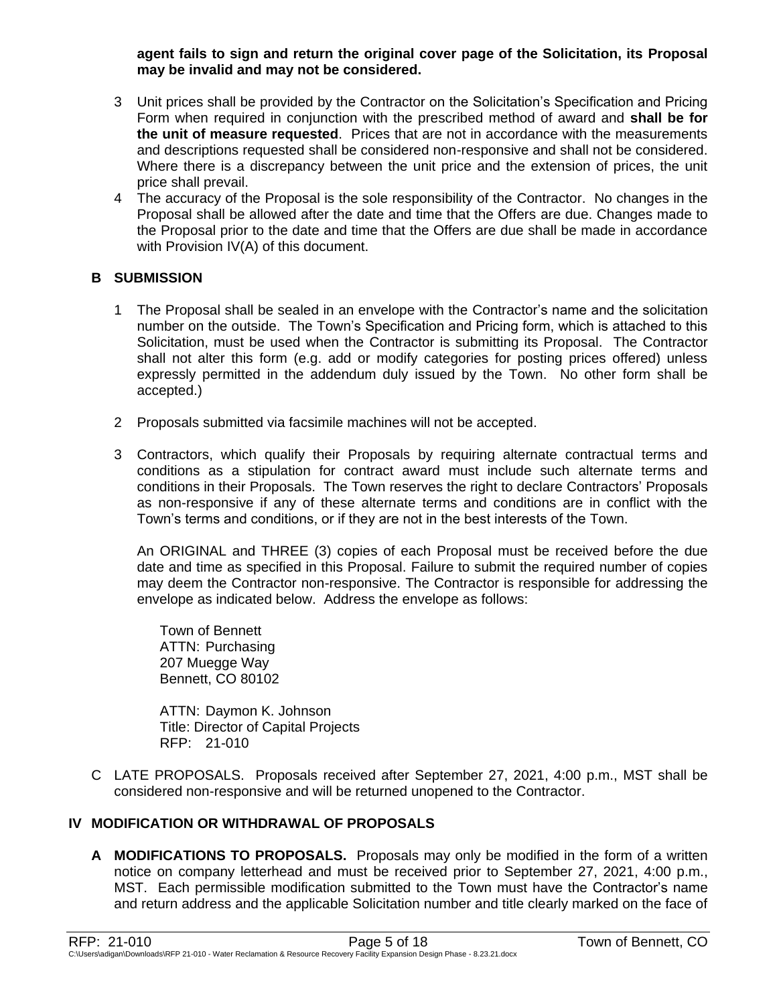#### **agent fails to sign and return the original cover page of the Solicitation, its Proposal may be invalid and may not be considered.**

- 3 Unit prices shall be provided by the Contractor on the Solicitation's Specification and Pricing Form when required in conjunction with the prescribed method of award and **shall be for the unit of measure requested**. Prices that are not in accordance with the measurements and descriptions requested shall be considered non-responsive and shall not be considered. Where there is a discrepancy between the unit price and the extension of prices, the unit price shall prevail.
- 4 The accuracy of the Proposal is the sole responsibility of the Contractor. No changes in the Proposal shall be allowed after the date and time that the Offers are due. Changes made to the Proposal prior to the date and time that the Offers are due shall be made in accordance with Provision IV(A) of this document.

## **B SUBMISSION**

- 1 The Proposal shall be sealed in an envelope with the Contractor's name and the solicitation number on the outside. The Town's Specification and Pricing form, which is attached to this Solicitation, must be used when the Contractor is submitting its Proposal. The Contractor shall not alter this form (e.g. add or modify categories for posting prices offered) unless expressly permitted in the addendum duly issued by the Town. No other form shall be accepted.)
- 2 Proposals submitted via facsimile machines will not be accepted.
- 3 Contractors, which qualify their Proposals by requiring alternate contractual terms and conditions as a stipulation for contract award must include such alternate terms and conditions in their Proposals. The Town reserves the right to declare Contractors' Proposals as non-responsive if any of these alternate terms and conditions are in conflict with the Town's terms and conditions, or if they are not in the best interests of the Town.

An ORIGINAL and THREE (3) copies of each Proposal must be received before the due date and time as specified in this Proposal. Failure to submit the required number of copies may deem the Contractor non-responsive. The Contractor is responsible for addressing the envelope as indicated below. Address the envelope as follows:

Town of Bennett ATTN: Purchasing 207 Muegge Way Bennett, CO 80102

ATTN: Daymon K. Johnson Title: Director of Capital Projects RFP: 21-010

C LATE PROPOSALS. Proposals received after September 27, 2021, 4:00 p.m., MST shall be considered non-responsive and will be returned unopened to the Contractor.

## **IV MODIFICATION OR WITHDRAWAL OF PROPOSALS**

**A MODIFICATIONS TO PROPOSALS.** Proposals may only be modified in the form of a written notice on company letterhead and must be received prior to September 27, 2021, 4:00 p.m., MST. Each permissible modification submitted to the Town must have the Contractor's name and return address and the applicable Solicitation number and title clearly marked on the face of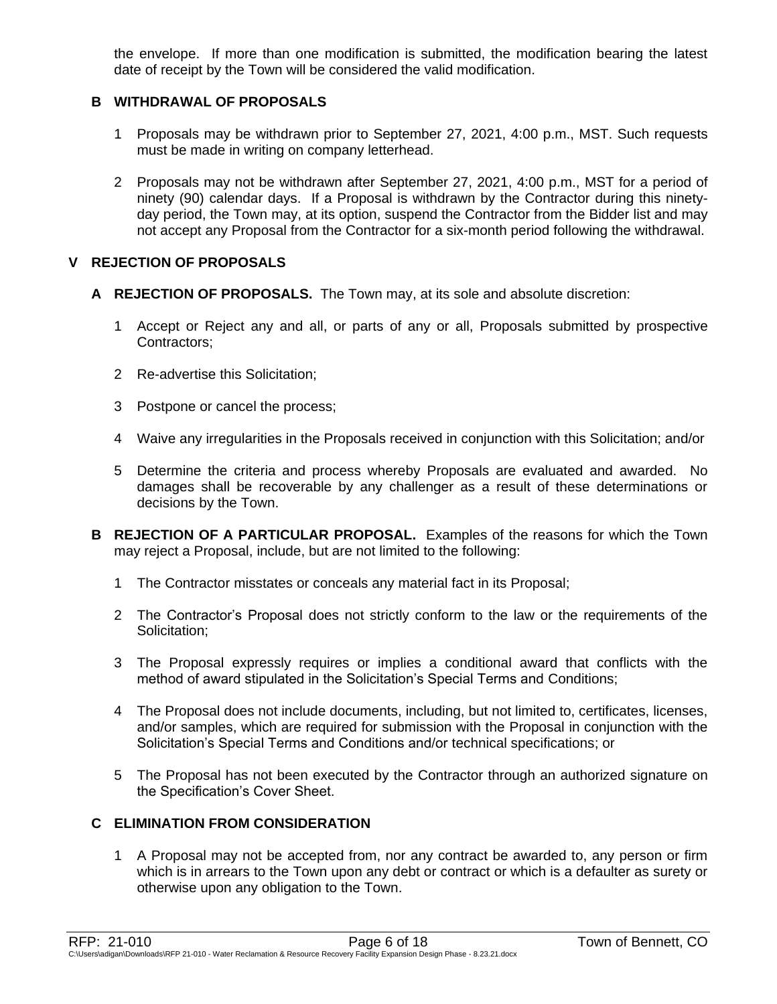the envelope. If more than one modification is submitted, the modification bearing the latest date of receipt by the Town will be considered the valid modification.

## **B WITHDRAWAL OF PROPOSALS**

- 1 Proposals may be withdrawn prior to September 27, 2021, 4:00 p.m., MST. Such requests must be made in writing on company letterhead.
- 2 Proposals may not be withdrawn after September 27, 2021, 4:00 p.m., MST for a period of ninety (90) calendar days. If a Proposal is withdrawn by the Contractor during this ninetyday period, the Town may, at its option, suspend the Contractor from the Bidder list and may not accept any Proposal from the Contractor for a six-month period following the withdrawal.

## **V REJECTION OF PROPOSALS**

- **A REJECTION OF PROPOSALS.** The Town may, at its sole and absolute discretion:
	- 1 Accept or Reject any and all, or parts of any or all, Proposals submitted by prospective Contractors;
	- 2 Re-advertise this Solicitation;
	- 3 Postpone or cancel the process;
	- 4 Waive any irregularities in the Proposals received in conjunction with this Solicitation; and/or
	- 5 Determine the criteria and process whereby Proposals are evaluated and awarded. No damages shall be recoverable by any challenger as a result of these determinations or decisions by the Town.
- **B REJECTION OF A PARTICULAR PROPOSAL.** Examples of the reasons for which the Town may reject a Proposal, include, but are not limited to the following:
	- 1 The Contractor misstates or conceals any material fact in its Proposal;
	- 2 The Contractor's Proposal does not strictly conform to the law or the requirements of the Solicitation:
	- 3 The Proposal expressly requires or implies a conditional award that conflicts with the method of award stipulated in the Solicitation's Special Terms and Conditions;
	- 4 The Proposal does not include documents, including, but not limited to, certificates, licenses, and/or samples, which are required for submission with the Proposal in conjunction with the Solicitation's Special Terms and Conditions and/or technical specifications; or
	- 5 The Proposal has not been executed by the Contractor through an authorized signature on the Specification's Cover Sheet.

## **C ELIMINATION FROM CONSIDERATION**

1 A Proposal may not be accepted from, nor any contract be awarded to, any person or firm which is in arrears to the Town upon any debt or contract or which is a defaulter as surety or otherwise upon any obligation to the Town.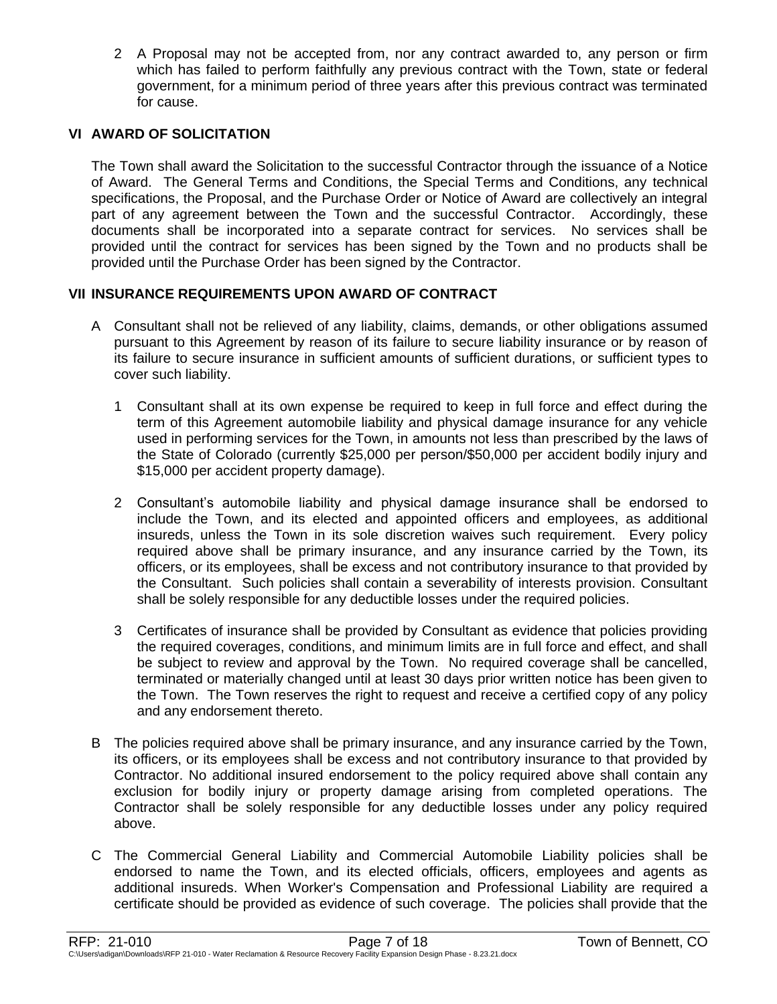2 A Proposal may not be accepted from, nor any contract awarded to, any person or firm which has failed to perform faithfully any previous contract with the Town, state or federal government, for a minimum period of three years after this previous contract was terminated for cause.

## **VI AWARD OF SOLICITATION**

The Town shall award the Solicitation to the successful Contractor through the issuance of a Notice of Award. The General Terms and Conditions, the Special Terms and Conditions, any technical specifications, the Proposal, and the Purchase Order or Notice of Award are collectively an integral part of any agreement between the Town and the successful Contractor. Accordingly, these documents shall be incorporated into a separate contract for services. No services shall be provided until the contract for services has been signed by the Town and no products shall be provided until the Purchase Order has been signed by the Contractor.

## **VII INSURANCE REQUIREMENTS UPON AWARD OF CONTRACT**

- A Consultant shall not be relieved of any liability, claims, demands, or other obligations assumed pursuant to this Agreement by reason of its failure to secure liability insurance or by reason of its failure to secure insurance in sufficient amounts of sufficient durations, or sufficient types to cover such liability.
	- 1 Consultant shall at its own expense be required to keep in full force and effect during the term of this Agreement automobile liability and physical damage insurance for any vehicle used in performing services for the Town, in amounts not less than prescribed by the laws of the State of Colorado (currently \$25,000 per person/\$50,000 per accident bodily injury and \$15,000 per accident property damage).
	- 2 Consultant's automobile liability and physical damage insurance shall be endorsed to include the Town, and its elected and appointed officers and employees, as additional insureds, unless the Town in its sole discretion waives such requirement. Every policy required above shall be primary insurance, and any insurance carried by the Town, its officers, or its employees, shall be excess and not contributory insurance to that provided by the Consultant. Such policies shall contain a severability of interests provision. Consultant shall be solely responsible for any deductible losses under the required policies.
	- 3 Certificates of insurance shall be provided by Consultant as evidence that policies providing the required coverages, conditions, and minimum limits are in full force and effect, and shall be subject to review and approval by the Town. No required coverage shall be cancelled, terminated or materially changed until at least 30 days prior written notice has been given to the Town. The Town reserves the right to request and receive a certified copy of any policy and any endorsement thereto.
- B The policies required above shall be primary insurance, and any insurance carried by the Town, its officers, or its employees shall be excess and not contributory insurance to that provided by Contractor. No additional insured endorsement to the policy required above shall contain any exclusion for bodily injury or property damage arising from completed operations. The Contractor shall be solely responsible for any deductible losses under any policy required above.
- C The Commercial General Liability and Commercial Automobile Liability policies shall be endorsed to name the Town, and its elected officials, officers, employees and agents as additional insureds. When Worker's Compensation and Professional Liability are required a certificate should be provided as evidence of such coverage. The policies shall provide that the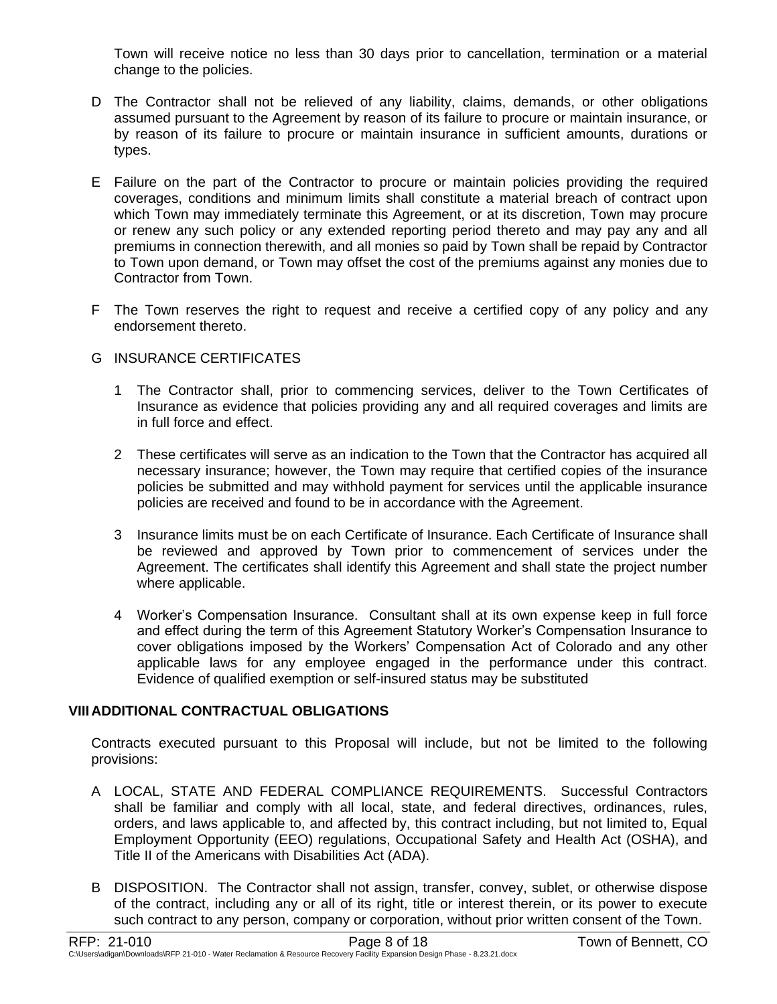Town will receive notice no less than 30 days prior to cancellation, termination or a material change to the policies.

- D The Contractor shall not be relieved of any liability, claims, demands, or other obligations assumed pursuant to the Agreement by reason of its failure to procure or maintain insurance, or by reason of its failure to procure or maintain insurance in sufficient amounts, durations or types.
- E Failure on the part of the Contractor to procure or maintain policies providing the required coverages, conditions and minimum limits shall constitute a material breach of contract upon which Town may immediately terminate this Agreement, or at its discretion, Town may procure or renew any such policy or any extended reporting period thereto and may pay any and all premiums in connection therewith, and all monies so paid by Town shall be repaid by Contractor to Town upon demand, or Town may offset the cost of the premiums against any monies due to Contractor from Town.
- F The Town reserves the right to request and receive a certified copy of any policy and any endorsement thereto.

## G INSURANCE CERTIFICATES

- 1 The Contractor shall, prior to commencing services, deliver to the Town Certificates of Insurance as evidence that policies providing any and all required coverages and limits are in full force and effect.
- 2 These certificates will serve as an indication to the Town that the Contractor has acquired all necessary insurance; however, the Town may require that certified copies of the insurance policies be submitted and may withhold payment for services until the applicable insurance policies are received and found to be in accordance with the Agreement.
- 3 Insurance limits must be on each Certificate of Insurance. Each Certificate of Insurance shall be reviewed and approved by Town prior to commencement of services under the Agreement. The certificates shall identify this Agreement and shall state the project number where applicable.
- 4 Worker's Compensation Insurance. Consultant shall at its own expense keep in full force and effect during the term of this Agreement Statutory Worker's Compensation Insurance to cover obligations imposed by the Workers' Compensation Act of Colorado and any other applicable laws for any employee engaged in the performance under this contract. Evidence of qualified exemption or self-insured status may be substituted

## **VIIIADDITIONAL CONTRACTUAL OBLIGATIONS**

Contracts executed pursuant to this Proposal will include, but not be limited to the following provisions:

- A LOCAL, STATE AND FEDERAL COMPLIANCE REQUIREMENTS. Successful Contractors shall be familiar and comply with all local, state, and federal directives, ordinances, rules, orders, and laws applicable to, and affected by, this contract including, but not limited to, Equal Employment Opportunity (EEO) regulations, Occupational Safety and Health Act (OSHA), and Title II of the Americans with Disabilities Act (ADA).
- B DISPOSITION. The Contractor shall not assign, transfer, convey, sublet, or otherwise dispose of the contract, including any or all of its right, title or interest therein, or its power to execute such contract to any person, company or corporation, without prior written consent of the Town.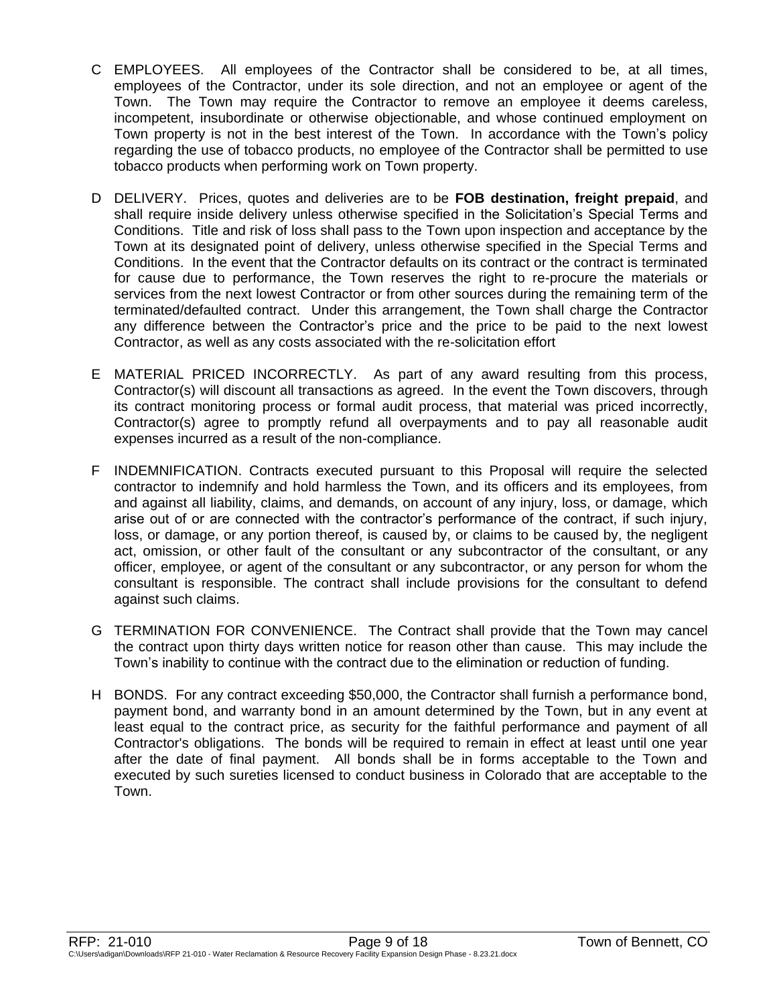- C EMPLOYEES. All employees of the Contractor shall be considered to be, at all times, employees of the Contractor, under its sole direction, and not an employee or agent of the Town. The Town may require the Contractor to remove an employee it deems careless, incompetent, insubordinate or otherwise objectionable, and whose continued employment on Town property is not in the best interest of the Town. In accordance with the Town's policy regarding the use of tobacco products, no employee of the Contractor shall be permitted to use tobacco products when performing work on Town property.
- D DELIVERY. Prices, quotes and deliveries are to be **FOB destination, freight prepaid**, and shall require inside delivery unless otherwise specified in the Solicitation's Special Terms and Conditions. Title and risk of loss shall pass to the Town upon inspection and acceptance by the Town at its designated point of delivery, unless otherwise specified in the Special Terms and Conditions. In the event that the Contractor defaults on its contract or the contract is terminated for cause due to performance, the Town reserves the right to re-procure the materials or services from the next lowest Contractor or from other sources during the remaining term of the terminated/defaulted contract. Under this arrangement, the Town shall charge the Contractor any difference between the Contractor's price and the price to be paid to the next lowest Contractor, as well as any costs associated with the re-solicitation effort
- E MATERIAL PRICED INCORRECTLY. As part of any award resulting from this process, Contractor(s) will discount all transactions as agreed. In the event the Town discovers, through its contract monitoring process or formal audit process, that material was priced incorrectly, Contractor(s) agree to promptly refund all overpayments and to pay all reasonable audit expenses incurred as a result of the non-compliance.
- F INDEMNIFICATION. Contracts executed pursuant to this Proposal will require the selected contractor to indemnify and hold harmless the Town, and its officers and its employees, from and against all liability, claims, and demands, on account of any injury, loss, or damage, which arise out of or are connected with the contractor's performance of the contract, if such injury, loss, or damage, or any portion thereof, is caused by, or claims to be caused by, the negligent act, omission, or other fault of the consultant or any subcontractor of the consultant, or any officer, employee, or agent of the consultant or any subcontractor, or any person for whom the consultant is responsible. The contract shall include provisions for the consultant to defend against such claims.
- G TERMINATION FOR CONVENIENCE. The Contract shall provide that the Town may cancel the contract upon thirty days written notice for reason other than cause. This may include the Town's inability to continue with the contract due to the elimination or reduction of funding.
- H BONDS. For any contract exceeding \$50,000, the Contractor shall furnish a performance bond, payment bond, and warranty bond in an amount determined by the Town, but in any event at least equal to the contract price, as security for the faithful performance and payment of all Contractor's obligations. The bonds will be required to remain in effect at least until one year after the date of final payment. All bonds shall be in forms acceptable to the Town and executed by such sureties licensed to conduct business in Colorado that are acceptable to the Town.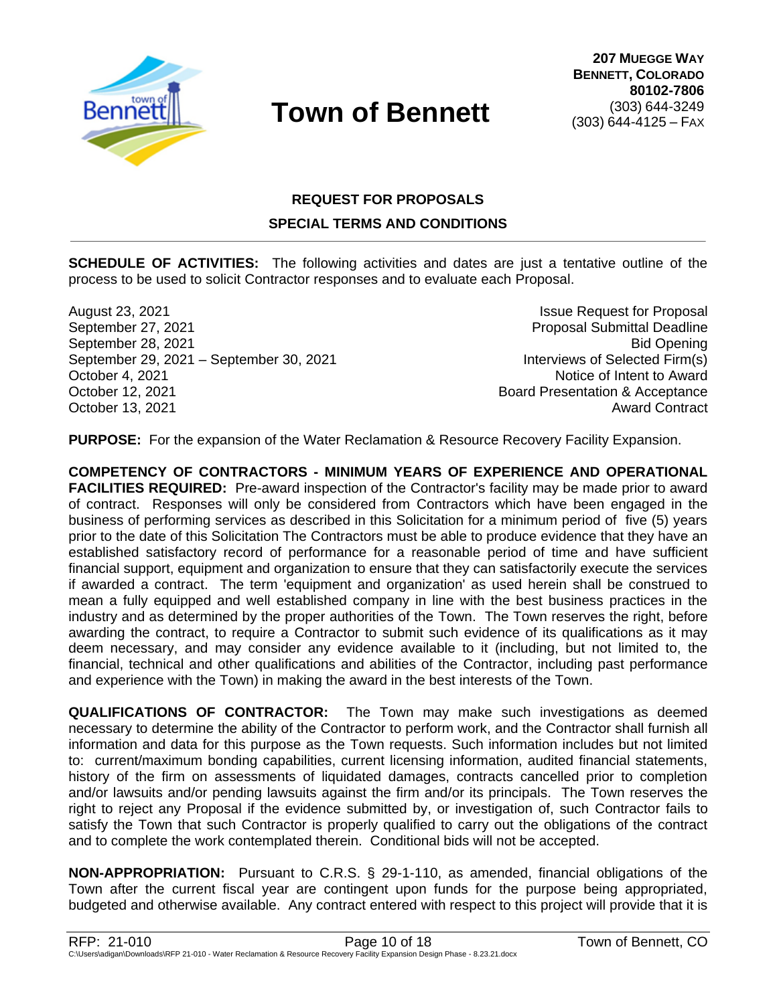

## **REQUEST FOR PROPOSALS**

## **SPECIAL TERMS AND CONDITIONS**

**SCHEDULE OF ACTIVITIES:** The following activities and dates are just a tentative outline of the process to be used to solicit Contractor responses and to evaluate each Proposal.

August 23, 2021 **Issue Request for Proposal** September 27, 2021 Proposal Submittal Deadline September 28, 2021 Bid Opening September 29, 2021 – September 30, 2021 **Interviews of Selected Firm(s)** October 4, 2021 **Notice of Intent to Award** October 12, 2021 **Board Presentation & Acceptance** October 13, 2021 **Award Contract** Contract Contract Contract Contract Contract Contract

**PURPOSE:** For the expansion of the Water Reclamation & Resource Recovery Facility Expansion.

**COMPETENCY OF CONTRACTORS - MINIMUM YEARS OF EXPERIENCE AND OPERATIONAL FACILITIES REQUIRED:** Pre-award inspection of the Contractor's facility may be made prior to award of contract. Responses will only be considered from Contractors which have been engaged in the business of performing services as described in this Solicitation for a minimum period of five (5) years prior to the date of this Solicitation The Contractors must be able to produce evidence that they have an established satisfactory record of performance for a reasonable period of time and have sufficient financial support, equipment and organization to ensure that they can satisfactorily execute the services if awarded a contract. The term 'equipment and organization' as used herein shall be construed to mean a fully equipped and well established company in line with the best business practices in the industry and as determined by the proper authorities of the Town. The Town reserves the right, before awarding the contract, to require a Contractor to submit such evidence of its qualifications as it may deem necessary, and may consider any evidence available to it (including, but not limited to, the financial, technical and other qualifications and abilities of the Contractor, including past performance and experience with the Town) in making the award in the best interests of the Town.

**QUALIFICATIONS OF CONTRACTOR:** The Town may make such investigations as deemed necessary to determine the ability of the Contractor to perform work, and the Contractor shall furnish all information and data for this purpose as the Town requests. Such information includes but not limited to: current/maximum bonding capabilities, current licensing information, audited financial statements, history of the firm on assessments of liquidated damages, contracts cancelled prior to completion and/or lawsuits and/or pending lawsuits against the firm and/or its principals. The Town reserves the right to reject any Proposal if the evidence submitted by, or investigation of, such Contractor fails to satisfy the Town that such Contractor is properly qualified to carry out the obligations of the contract and to complete the work contemplated therein. Conditional bids will not be accepted.

**NON-APPROPRIATION:** Pursuant to C.R.S. § 29-1-110, as amended, financial obligations of the Town after the current fiscal year are contingent upon funds for the purpose being appropriated, budgeted and otherwise available. Any contract entered with respect to this project will provide that it is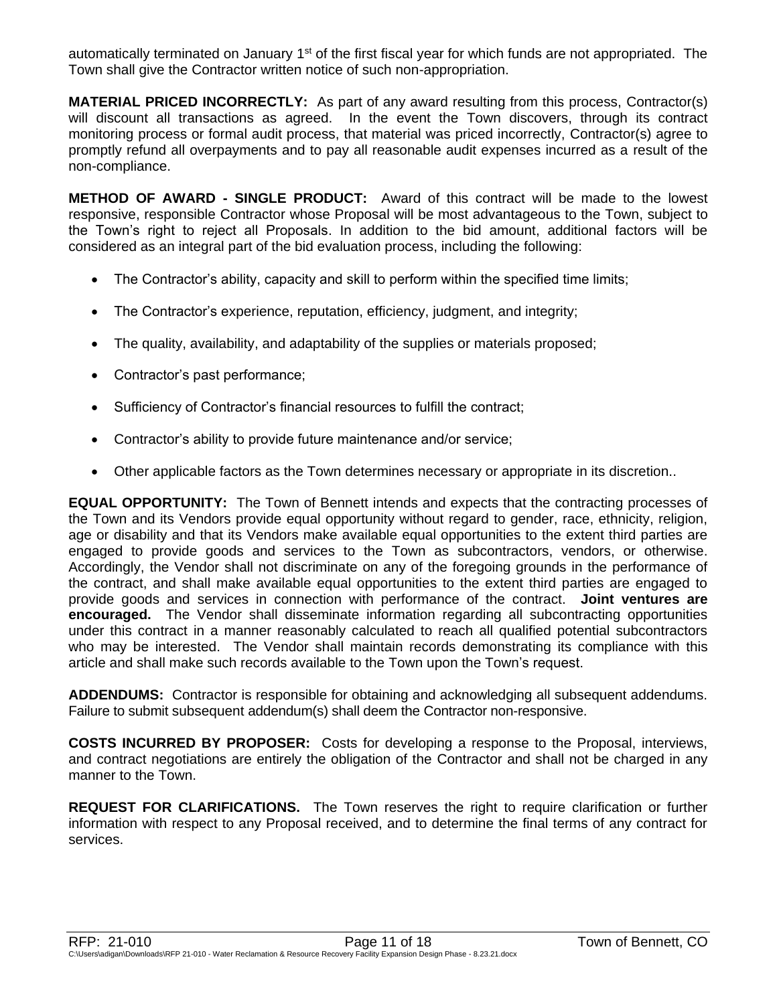automatically terminated on January 1<sup>st</sup> of the first fiscal year for which funds are not appropriated. The Town shall give the Contractor written notice of such non-appropriation.

**MATERIAL PRICED INCORRECTLY:** As part of any award resulting from this process, Contractor(s) will discount all transactions as agreed. In the event the Town discovers, through its contract monitoring process or formal audit process, that material was priced incorrectly, Contractor(s) agree to promptly refund all overpayments and to pay all reasonable audit expenses incurred as a result of the non-compliance.

**METHOD OF AWARD - SINGLE PRODUCT:** Award of this contract will be made to the lowest responsive, responsible Contractor whose Proposal will be most advantageous to the Town, subject to the Town's right to reject all Proposals. In addition to the bid amount, additional factors will be considered as an integral part of the bid evaluation process, including the following:

- The Contractor's ability, capacity and skill to perform within the specified time limits;
- The Contractor's experience, reputation, efficiency, judgment, and integrity;
- The quality, availability, and adaptability of the supplies or materials proposed;
- Contractor's past performance;
- Sufficiency of Contractor's financial resources to fulfill the contract;
- Contractor's ability to provide future maintenance and/or service;
- Other applicable factors as the Town determines necessary or appropriate in its discretion..

**EQUAL OPPORTUNITY:** The Town of Bennett intends and expects that the contracting processes of the Town and its Vendors provide equal opportunity without regard to gender, race, ethnicity, religion, age or disability and that its Vendors make available equal opportunities to the extent third parties are engaged to provide goods and services to the Town as subcontractors, vendors, or otherwise. Accordingly, the Vendor shall not discriminate on any of the foregoing grounds in the performance of the contract, and shall make available equal opportunities to the extent third parties are engaged to provide goods and services in connection with performance of the contract. **Joint ventures are encouraged.** The Vendor shall disseminate information regarding all subcontracting opportunities under this contract in a manner reasonably calculated to reach all qualified potential subcontractors who may be interested. The Vendor shall maintain records demonstrating its compliance with this article and shall make such records available to the Town upon the Town's request.

**ADDENDUMS:** Contractor is responsible for obtaining and acknowledging all subsequent addendums. Failure to submit subsequent addendum(s) shall deem the Contractor non-responsive.

**COSTS INCURRED BY PROPOSER:** Costs for developing a response to the Proposal, interviews, and contract negotiations are entirely the obligation of the Contractor and shall not be charged in any manner to the Town.

**REQUEST FOR CLARIFICATIONS.** The Town reserves the right to require clarification or further information with respect to any Proposal received, and to determine the final terms of any contract for services.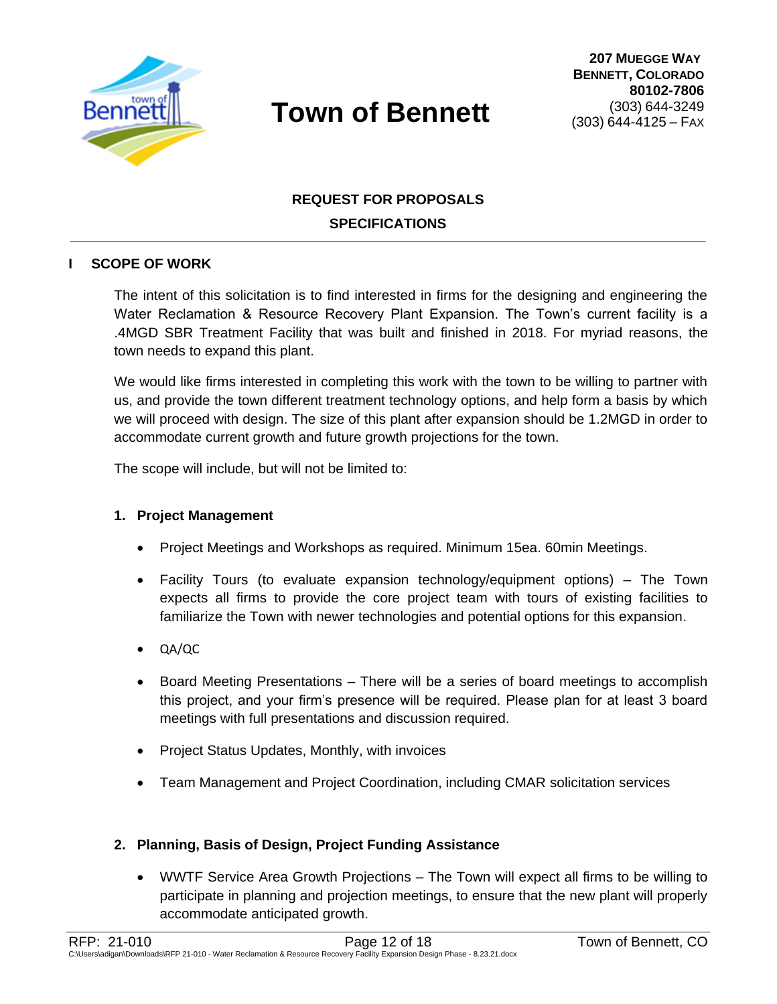

## **REQUEST FOR PROPOSALS SPECIFICATIONS**

## **I SCOPE OF WORK**

The intent of this solicitation is to find interested in firms for the designing and engineering the Water Reclamation & Resource Recovery Plant Expansion. The Town's current facility is a .4MGD SBR Treatment Facility that was built and finished in 2018. For myriad reasons, the town needs to expand this plant.

We would like firms interested in completing this work with the town to be willing to partner with us, and provide the town different treatment technology options, and help form a basis by which we will proceed with design. The size of this plant after expansion should be 1.2MGD in order to accommodate current growth and future growth projections for the town.

The scope will include, but will not be limited to:

## **1. Project Management**

- Project Meetings and Workshops as required. Minimum 15ea. 60min Meetings.
- Facility Tours (to evaluate expansion technology/equipment options) The Town expects all firms to provide the core project team with tours of existing facilities to familiarize the Town with newer technologies and potential options for this expansion.
- QA/QC
- Board Meeting Presentations There will be a series of board meetings to accomplish this project, and your firm's presence will be required. Please plan for at least 3 board meetings with full presentations and discussion required.
- Project Status Updates, Monthly, with invoices
- Team Management and Project Coordination, including CMAR solicitation services

## **2. Planning, Basis of Design, Project Funding Assistance**

 WWTF Service Area Growth Projections – The Town will expect all firms to be willing to participate in planning and projection meetings, to ensure that the new plant will properly accommodate anticipated growth.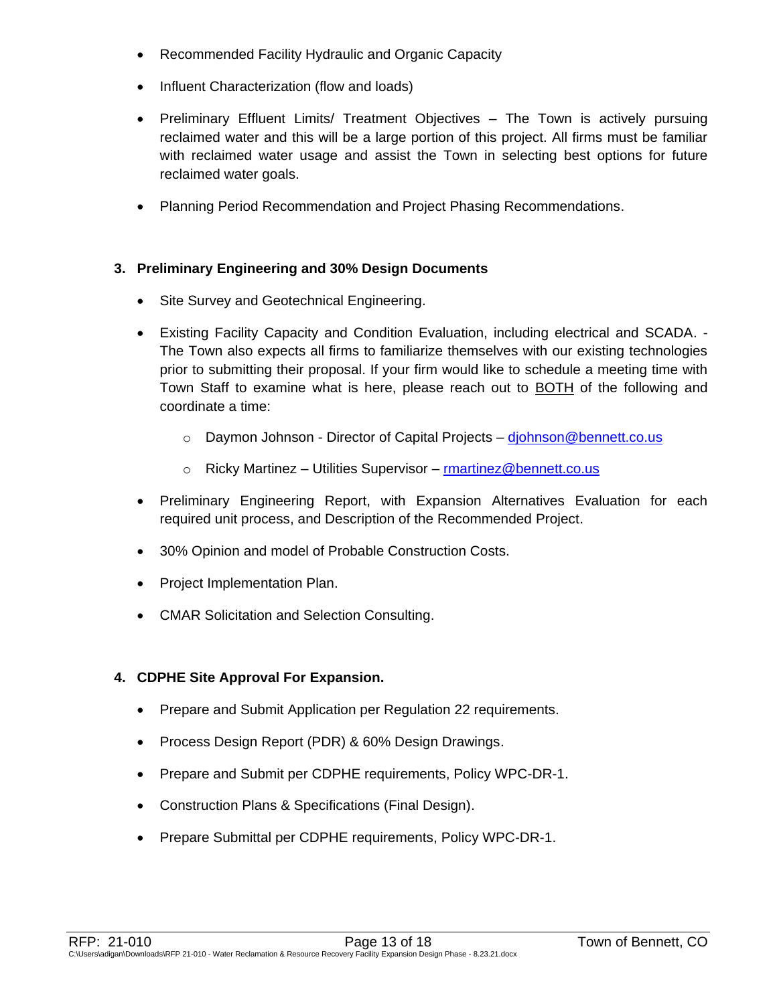- Recommended Facility Hydraulic and Organic Capacity
- Influent Characterization (flow and loads)
- Preliminary Effluent Limits/ Treatment Objectives The Town is actively pursuing reclaimed water and this will be a large portion of this project. All firms must be familiar with reclaimed water usage and assist the Town in selecting best options for future reclaimed water goals.
- Planning Period Recommendation and Project Phasing Recommendations.

## **3. Preliminary Engineering and 30% Design Documents**

- Site Survey and Geotechnical Engineering.
- Existing Facility Capacity and Condition Evaluation, including electrical and SCADA. The Town also expects all firms to familiarize themselves with our existing technologies prior to submitting their proposal. If your firm would like to schedule a meeting time with Town Staff to examine what is here, please reach out to BOTH of the following and coordinate a time:
	- o Daymon Johnson Director of Capital Projects [djohnson@bennett.co.us](mailto:djohnson@bennett.co.us)
	- o Ricky Martinez Utilities Supervisor martinez@bennett.co.us
- Preliminary Engineering Report, with Expansion Alternatives Evaluation for each required unit process, and Description of the Recommended Project.
- 30% Opinion and model of Probable Construction Costs.
- Project Implementation Plan.
- CMAR Solicitation and Selection Consulting.

## **4. CDPHE Site Approval For Expansion.**

- Prepare and Submit Application per Regulation 22 requirements.
- Process Design Report (PDR) & 60% Design Drawings.
- Prepare and Submit per CDPHE requirements, Policy WPC-DR-1.
- Construction Plans & Specifications (Final Design).
- Prepare Submittal per CDPHE requirements, Policy WPC-DR-1.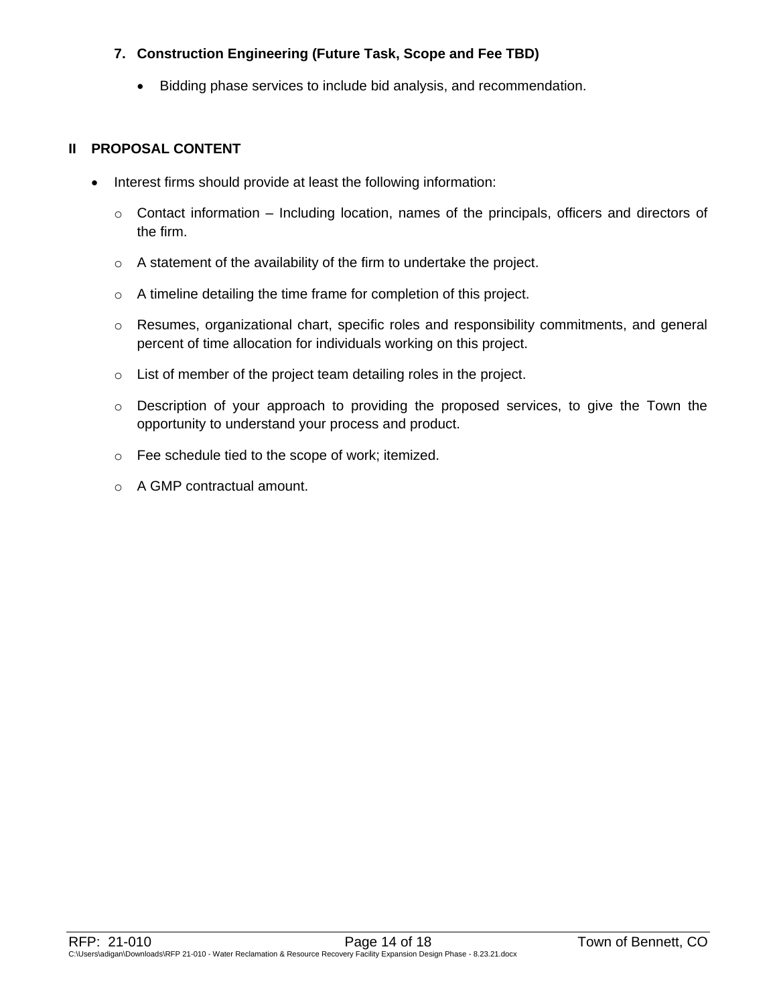## **7. Construction Engineering (Future Task, Scope and Fee TBD)**

Bidding phase services to include bid analysis, and recommendation.

## **II PROPOSAL CONTENT**

- Interest firms should provide at least the following information:
	- $\circ$  Contact information Including location, names of the principals, officers and directors of the firm.
	- o A statement of the availability of the firm to undertake the project.
	- o A timeline detailing the time frame for completion of this project.
	- o Resumes, organizational chart, specific roles and responsibility commitments, and general percent of time allocation for individuals working on this project.
	- o List of member of the project team detailing roles in the project.
	- o Description of your approach to providing the proposed services, to give the Town the opportunity to understand your process and product.
	- o Fee schedule tied to the scope of work; itemized.
	- o A GMP contractual amount.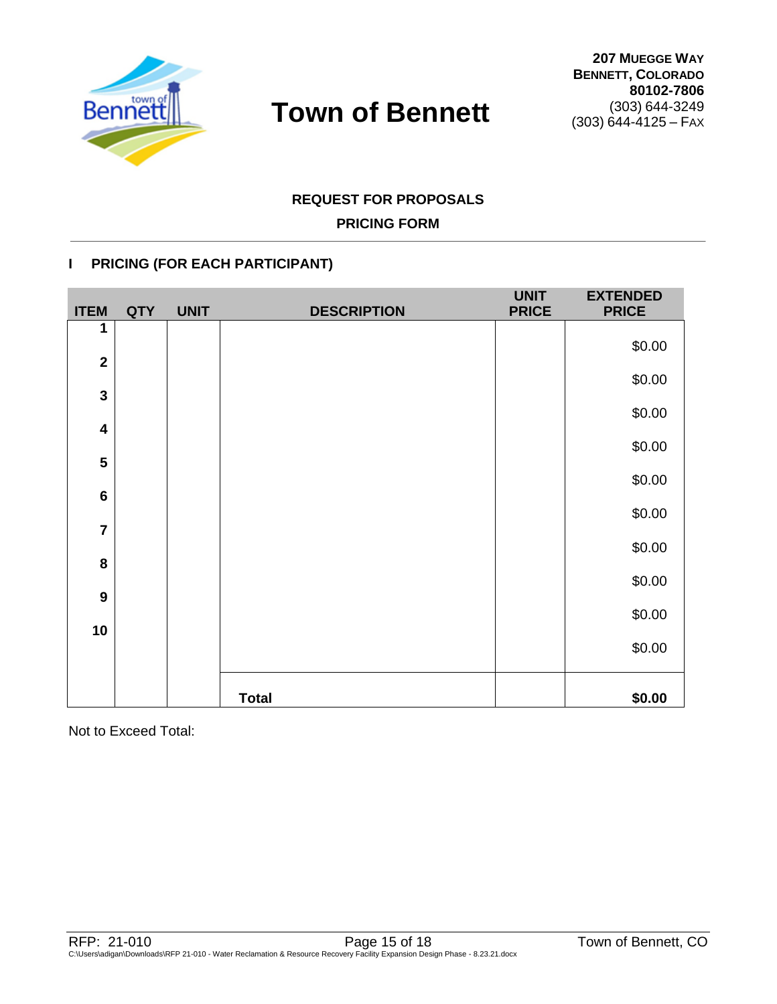

## **REQUEST FOR PROPOSALS**

## **PRICING FORM**

## **I PRICING (FOR EACH PARTICIPANT)**

| <b>ITEM</b>             | <b>QTY</b> | <b>UNIT</b> | <b>DESCRIPTION</b> | <b>UNIT</b><br><b>PRICE</b> | <b>EXTENDED</b><br><b>PRICE</b> |
|-------------------------|------------|-------------|--------------------|-----------------------------|---------------------------------|
| 1                       |            |             |                    |                             | \$0.00                          |
| $\mathbf{2}$            |            |             |                    |                             |                                 |
| $\mathbf{3}$            |            |             |                    |                             | \$0.00                          |
| $\overline{\mathbf{4}}$ |            |             |                    |                             | \$0.00                          |
|                         |            |             |                    |                             | \$0.00                          |
| 5                       |            |             |                    |                             | \$0.00                          |
| $6\phantom{1}6$         |            |             |                    |                             | \$0.00                          |
| $\overline{7}$          |            |             |                    |                             |                                 |
| ${\bf 8}$               |            |             |                    |                             | \$0.00                          |
| 9                       |            |             |                    |                             | \$0.00                          |
|                         |            |             |                    |                             | \$0.00                          |
| 10                      |            |             |                    |                             | \$0.00                          |
|                         |            |             |                    |                             |                                 |
|                         |            |             | <b>Total</b>       |                             | \$0.00                          |

Not to Exceed Total: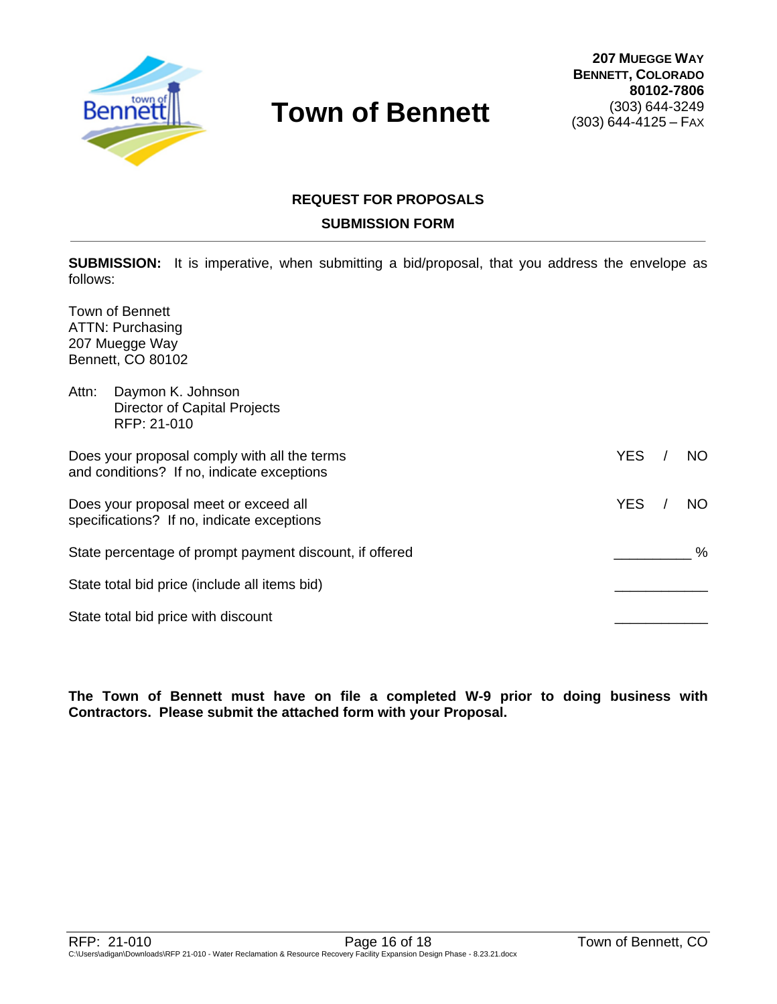

## **REQUEST FOR PROPOSALS SUBMISSION FORM**

**SUBMISSION:** It is imperative, when submitting a bid/proposal, that you address the envelope as follows:

Town of Bennett ATTN: Purchasing 207 Muegge Way Bennett, CO 80102

| Attn:                                                                                      | Daymon K. Johnson<br>Director of Capital Projects<br>RFP: 21-010                    |            |     |
|--------------------------------------------------------------------------------------------|-------------------------------------------------------------------------------------|------------|-----|
| Does your proposal comply with all the terms<br>and conditions? If no, indicate exceptions |                                                                                     | <b>YES</b> | NO. |
|                                                                                            | Does your proposal meet or exceed all<br>specifications? If no, indicate exceptions | <b>YES</b> | NO. |
|                                                                                            | State percentage of prompt payment discount, if offered                             |            | %   |
|                                                                                            | State total bid price (include all items bid)                                       |            |     |
|                                                                                            | State total bid price with discount                                                 |            |     |

**The Town of Bennett must have on file a completed W-9 prior to doing business with Contractors. Please submit the attached form with your Proposal.**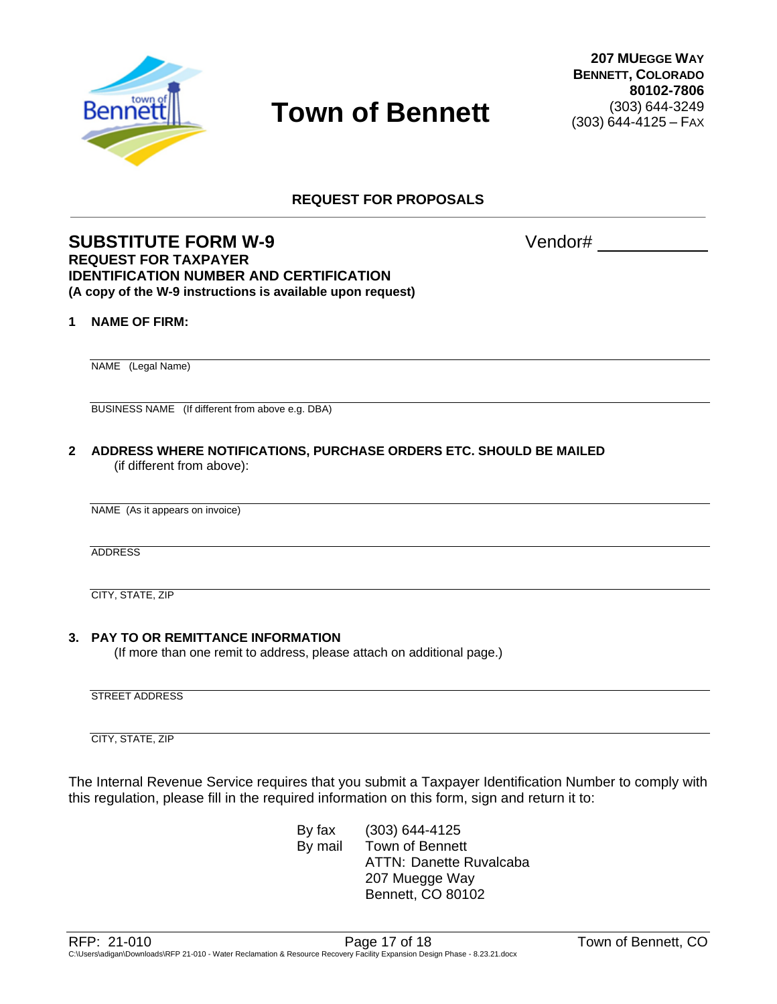

**REQUEST FOR PROPOSALS**

## **SUBSTITUTE FORM W-9** Vendor# **REQUEST FOR TAXPAYER IDENTIFICATION NUMBER AND CERTIFICATION (A copy of the W-9 instructions is available upon request)**

#### **1 NAME OF FIRM:**

NAME (Legal Name)

BUSINESS NAME (If different from above e.g. DBA)

**2 ADDRESS WHERE NOTIFICATIONS, PURCHASE ORDERS ETC. SHOULD BE MAILED** (if different from above):

NAME (As it appears on invoice)

ADDRESS

CITY, STATE, ZIP

#### **3. PAY TO OR REMITTANCE INFORMATION**

(If more than one remit to address, please attach on additional page.)

STREET ADDRESS

CITY, STATE, ZIP

The Internal Revenue Service requires that you submit a Taxpayer Identification Number to comply with this regulation, please fill in the required information on this form, sign and return it to:

> By fax (303) 644-4125 By mail Town of Bennett ATTN: Danette Ruvalcaba 207 Muegge Way Bennett, CO 80102